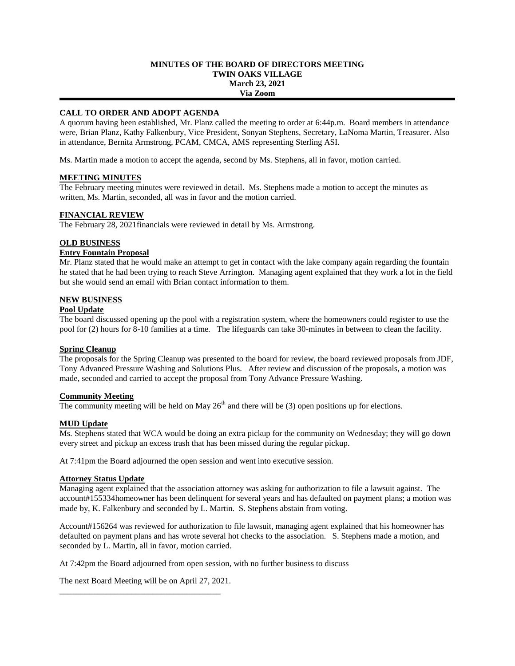### **MINUTES OF THE BOARD OF DIRECTORS MEETING TWIN OAKS VILLAGE March 23, 2021 Via Zoom**

# **CALL TO ORDER AND ADOPT AGENDA**

A quorum having been established, Mr. Planz called the meeting to order at 6:44p.m. Board members in attendance were, Brian Planz, Kathy Falkenbury, Vice President, Sonyan Stephens, Secretary, LaNoma Martin, Treasurer. Also in attendance, Bernita Armstrong, PCAM, CMCA, AMS representing Sterling ASI.

Ms. Martin made a motion to accept the agenda, second by Ms. Stephens, all in favor, motion carried.

# **MEETING MINUTES**

The February meeting minutes were reviewed in detail. Ms. Stephens made a motion to accept the minutes as written, Ms. Martin, seconded, all was in favor and the motion carried.

# **FINANCIAL REVIEW**

The February 28, 2021financials were reviewed in detail by Ms. Armstrong.

### **OLD BUSINESS**

# **Entry Fountain Proposal**

Mr. Planz stated that he would make an attempt to get in contact with the lake company again regarding the fountain he stated that he had been trying to reach Steve Arrington. Managing agent explained that they work a lot in the field but she would send an email with Brian contact information to them.

### **NEW BUSINESS**

### **Pool Update**

The board discussed opening up the pool with a registration system, where the homeowners could register to use the pool for (2) hours for 8-10 families at a time. The lifeguards can take 30-minutes in between to clean the facility.

# **Spring Cleanup**

The proposals for the Spring Cleanup was presented to the board for review, the board reviewed proposals from JDF, Tony Advanced Pressure Washing and Solutions Plus. After review and discussion of the proposals, a motion was made, seconded and carried to accept the proposal from Tony Advance Pressure Washing.

#### **Community Meeting**

The community meeting will be held on May  $26<sup>th</sup>$  and there will be (3) open positions up for elections.

# **MUD Update**

Ms. Stephens stated that WCA would be doing an extra pickup for the community on Wednesday; they will go down every street and pickup an excess trash that has been missed during the regular pickup.

At 7:41pm the Board adjourned the open session and went into executive session.

#### **Attorney Status Update**

Managing agent explained that the association attorney was asking for authorization to file a lawsuit against. The account#155334homeowner has been delinquent for several years and has defaulted on payment plans; a motion was made by, K. Falkenbury and seconded by L. Martin. S. Stephens abstain from voting.

Account#156264 was reviewed for authorization to file lawsuit, managing agent explained that his homeowner has defaulted on payment plans and has wrote several hot checks to the association. S. Stephens made a motion, and seconded by L. Martin, all in favor, motion carried.

At 7:42pm the Board adjourned from open session, with no further business to discuss

The next Board Meeting will be on April 27, 2021. \_\_\_\_\_\_\_\_\_\_\_\_\_\_\_\_\_\_\_\_\_\_\_\_\_\_\_\_\_\_\_\_\_\_\_\_\_\_